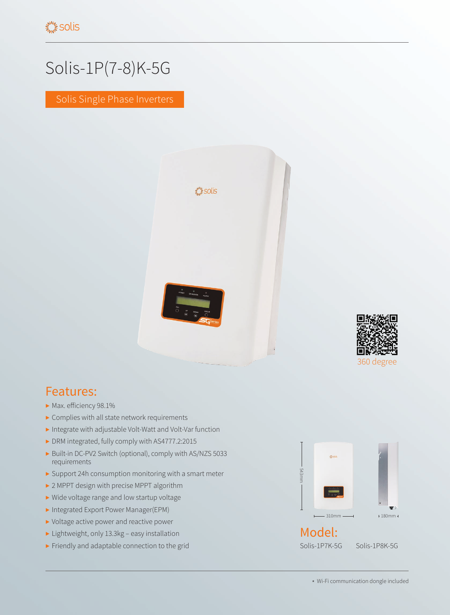## Solis-1P(7-8)K-5G

Solis Single Phase Inverters





- ▶ Max. efficiency 98.1%
- ▶ Complies with all state network requirements
- ▶ Integrate with adjustable Volt-Watt and Volt-Var function
- ▶ DRM integrated, fully comply with AS4777.2:2015
- ▶ Built-in DC-PV2 Switch (optional), comply with AS/NZS 5033 requirements
- ▶ Support 24h consumption monitoring with a smart meter
- ▶ 2 MPPT design with precise MPPT algorithm
- ▶ Wide voltage range and low startup voltage
- ▶ Integrated Export Power Manager(EPM)
- ▶ Voltage active power and reactive power
- ▶ Lightweight, only 13.3kg easy installation
- ▶ Friendly and adaptable connection to the grid



360 degree